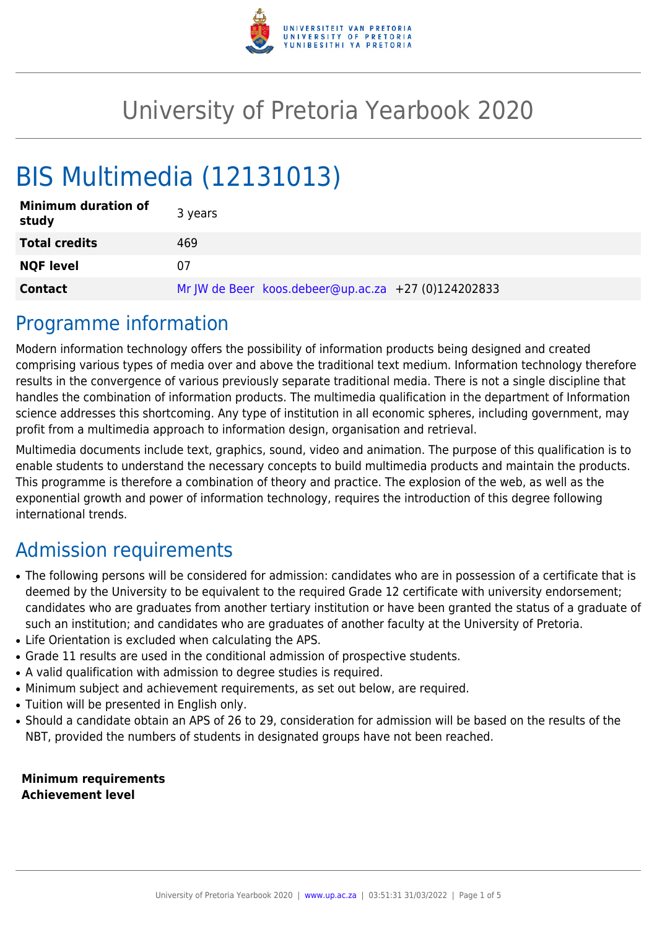

## University of Pretoria Yearbook 2020

# BIS Multimedia (12131013)

| <b>Minimum duration of</b><br>study | 3 years                                             |
|-------------------------------------|-----------------------------------------------------|
| <b>Total credits</b>                | 469                                                 |
| <b>NQF level</b>                    | 07                                                  |
| <b>Contact</b>                      | Mr JW de Beer koos.debeer@up.ac.za +27 (0)124202833 |

### Programme information

Modern information technology offers the possibility of information products being designed and created comprising various types of media over and above the traditional text medium. Information technology therefore results in the convergence of various previously separate traditional media. There is not a single discipline that handles the combination of information products. The multimedia qualification in the department of Information science addresses this shortcoming. Any type of institution in all economic spheres, including government, may profit from a multimedia approach to information design, organisation and retrieval.

Multimedia documents include text, graphics, sound, video and animation. The purpose of this qualification is to enable students to understand the necessary concepts to build multimedia products and maintain the products. This programme is therefore a combination of theory and practice. The explosion of the web, as well as the exponential growth and power of information technology, requires the introduction of this degree following international trends.

### Admission requirements

- The following persons will be considered for admission: candidates who are in possession of a certificate that is deemed by the University to be equivalent to the required Grade 12 certificate with university endorsement; candidates who are graduates from another tertiary institution or have been granted the status of a graduate of such an institution; and candidates who are graduates of another faculty at the University of Pretoria.
- Life Orientation is excluded when calculating the APS.
- Grade 11 results are used in the conditional admission of prospective students.
- A valid qualification with admission to degree studies is required.
- Minimum subject and achievement requirements, as set out below, are required.
- Tuition will be presented in English only.
- Should a candidate obtain an APS of 26 to 29, consideration for admission will be based on the results of the NBT, provided the numbers of students in designated groups have not been reached.

**Minimum requirements Achievement level**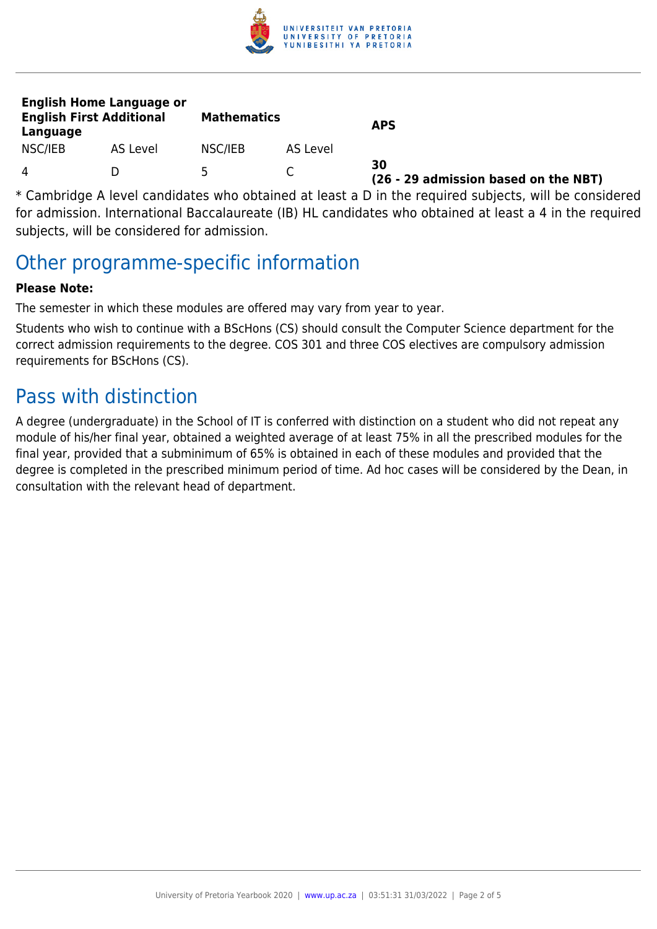

| <b>English Home Language or</b><br><b>English First Additional</b><br>Language |          | <b>Mathematics</b> |          | <b>APS</b>                                 |
|--------------------------------------------------------------------------------|----------|--------------------|----------|--------------------------------------------|
| NSC/IEB                                                                        | AS Level | NSC/IEB            | AS Level |                                            |
| 4                                                                              |          | ь                  |          | 30<br>(26 - 29 admission based on the NBT) |

\* Cambridge A level candidates who obtained at least a D in the required subjects, will be considered for admission. International Baccalaureate (IB) HL candidates who obtained at least a 4 in the required subjects, will be considered for admission.

### Other programme-specific information

#### **Please Note:**

The semester in which these modules are offered may vary from year to year.

Students who wish to continue with a BScHons (CS) should consult the Computer Science department for the correct admission requirements to the degree. COS 301 and three COS electives are compulsory admission requirements for BScHons (CS).

### Pass with distinction

A degree (undergraduate) in the School of IT is conferred with distinction on a student who did not repeat any module of his/her final year, obtained a weighted average of at least 75% in all the prescribed modules for the final year, provided that a subminimum of 65% is obtained in each of these modules and provided that the degree is completed in the prescribed minimum period of time. Ad hoc cases will be considered by the Dean, in consultation with the relevant head of department.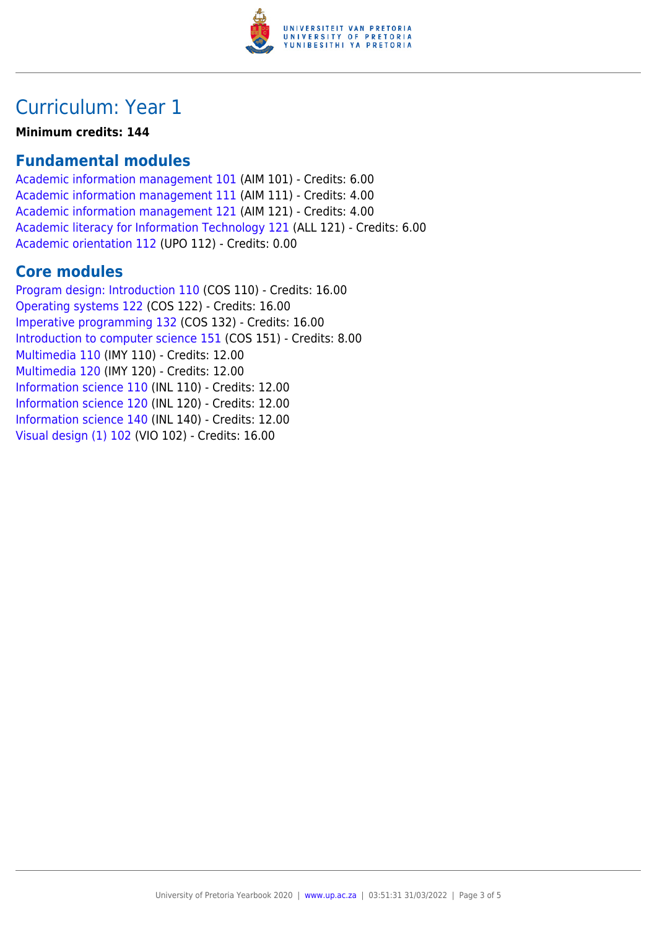

### Curriculum: Year 1

**Minimum credits: 144**

#### **Fundamental modules**

[Academic information management 101](https://www.up.ac.za/yearbooks/2020/modules/view/AIM 101) (AIM 101) - Credits: 6.00 [Academic information management 111](https://www.up.ac.za/yearbooks/2020/modules/view/AIM 111) (AIM 111) - Credits: 4.00 [Academic information management 121](https://www.up.ac.za/yearbooks/2020/modules/view/AIM 121) (AIM 121) - Credits: 4.00 [Academic literacy for Information Technology 121](https://www.up.ac.za/yearbooks/2020/modules/view/ALL 121) (ALL 121) - Credits: 6.00 [Academic orientation 112](https://www.up.ac.za/yearbooks/2020/modules/view/UPO 112) (UPO 112) - Credits: 0.00

#### **Core modules**

[Program design: Introduction 110](https://www.up.ac.za/yearbooks/2020/modules/view/COS 110) (COS 110) - Credits: 16.00 [Operating systems 122](https://www.up.ac.za/yearbooks/2020/modules/view/COS 122) (COS 122) - Credits: 16.00 [Imperative programming 132](https://www.up.ac.za/yearbooks/2020/modules/view/COS 132) (COS 132) - Credits: 16.00 [Introduction to computer science 151](https://www.up.ac.za/yearbooks/2020/modules/view/COS 151) (COS 151) - Credits: 8.00 [Multimedia 110](https://www.up.ac.za/yearbooks/2020/modules/view/IMY 110) (IMY 110) - Credits: 12.00 [Multimedia 120](https://www.up.ac.za/yearbooks/2020/modules/view/IMY 120) (IMY 120) - Credits: 12.00 [Information science 110](https://www.up.ac.za/yearbooks/2020/modules/view/INL 110) (INL 110) - Credits: 12.00 [Information science 120](https://www.up.ac.za/yearbooks/2020/modules/view/INL 120) (INL 120) - Credits: 12.00 [Information science 140](https://www.up.ac.za/yearbooks/2020/modules/view/INL 140) (INL 140) - Credits: 12.00 [Visual design \(1\) 102](https://www.up.ac.za/yearbooks/2020/modules/view/VIO 102) (VIO 102) - Credits: 16.00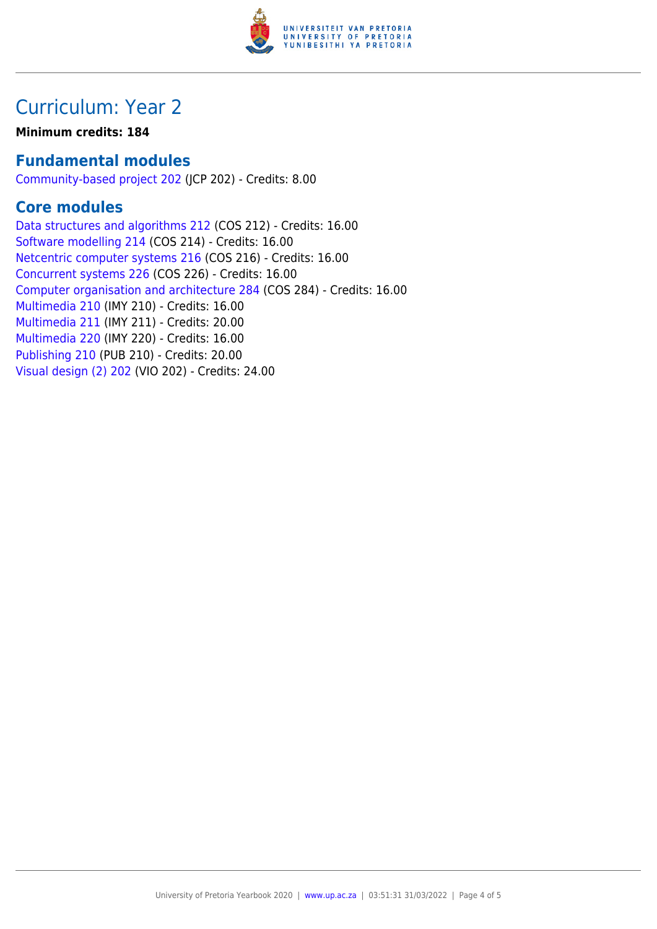

### Curriculum: Year 2

#### **Minimum credits: 184**

#### **Fundamental modules**

[Community-based project 202](https://www.up.ac.za/yearbooks/2020/modules/view/JCP 202) (JCP 202) - Credits: 8.00

#### **Core modules**

[Data structures and algorithms 212](https://www.up.ac.za/yearbooks/2020/modules/view/COS 212) (COS 212) - Credits: 16.00 [Software modelling 214](https://www.up.ac.za/yearbooks/2020/modules/view/COS 214) (COS 214) - Credits: 16.00 [Netcentric computer systems 216](https://www.up.ac.za/yearbooks/2020/modules/view/COS 216) (COS 216) - Credits: 16.00 [Concurrent systems 226](https://www.up.ac.za/yearbooks/2020/modules/view/COS 226) (COS 226) - Credits: 16.00 [Computer organisation and architecture 284](https://www.up.ac.za/yearbooks/2020/modules/view/COS 284) (COS 284) - Credits: 16.00 [Multimedia 210](https://www.up.ac.za/yearbooks/2020/modules/view/IMY 210) (IMY 210) - Credits: 16.00 [Multimedia 211](https://www.up.ac.za/yearbooks/2020/modules/view/IMY 211) (IMY 211) - Credits: 20.00 [Multimedia 220](https://www.up.ac.za/yearbooks/2020/modules/view/IMY 220) (IMY 220) - Credits: 16.00 [Publishing 210](https://www.up.ac.za/yearbooks/2020/modules/view/PUB 210) (PUB 210) - Credits: 20.00 [Visual design \(2\) 202](https://www.up.ac.za/yearbooks/2020/modules/view/VIO 202) (VIO 202) - Credits: 24.00